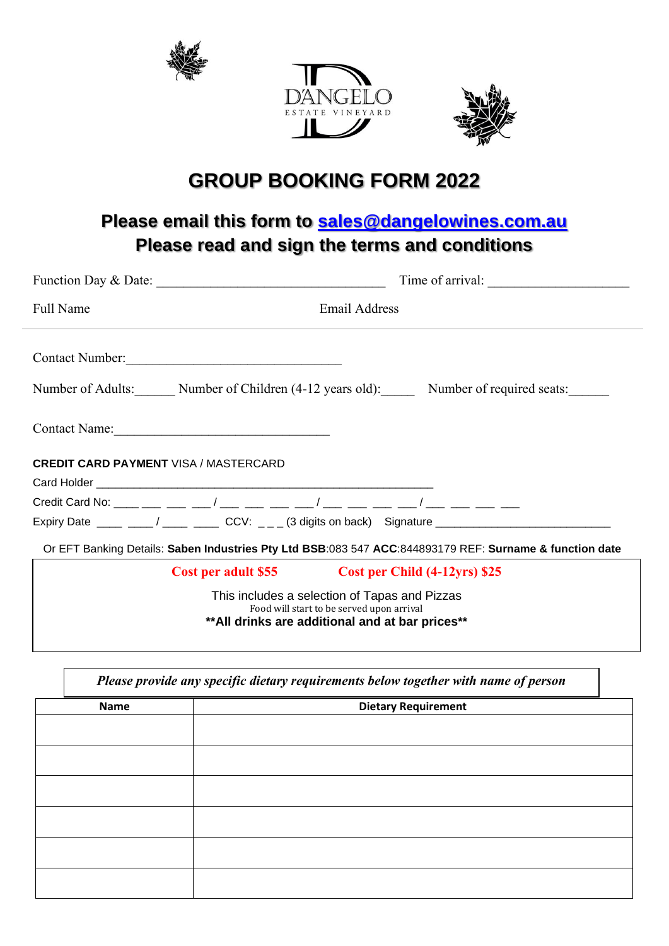





## **GROUP BOOKING FORM 2022**

## **Please email this form to [sales@dangelowines.com.au](mailto:sales@dangelowines.com.au) Please read and sign the terms and conditions**

| Function Day & Date:                                                                                                                           | Time of arrival:                                                                                    |  |
|------------------------------------------------------------------------------------------------------------------------------------------------|-----------------------------------------------------------------------------------------------------|--|
| <b>Full Name</b>                                                                                                                               | <b>Email Address</b>                                                                                |  |
| Contact Number:                                                                                                                                | Number of Adults: Number of Children (4-12 years old): Number of required seats:                    |  |
|                                                                                                                                                |                                                                                                     |  |
| <b>CREDIT CARD PAYMENT VISA / MASTERCARD</b>                                                                                                   |                                                                                                     |  |
|                                                                                                                                                |                                                                                                     |  |
|                                                                                                                                                |                                                                                                     |  |
|                                                                                                                                                | Expiry Date ____ ___/ ____ ___ CCV: _ _ _ (3 digits on back) Signature ____________________________ |  |
| Or EFT Banking Details: Saben Industries Pty Ltd BSB:083 547 ACC:844893179 REF: Surname & function date                                        |                                                                                                     |  |
|                                                                                                                                                | Cost per adult \$55 Cost per Child (4-12yrs) \$25                                                   |  |
| This includes a selection of Tapas and Pizzas<br>Food will start to be served upon arrival<br>** All drinks are additional and at bar prices** |                                                                                                     |  |

| Please provide any specific dietary requirements below together with name of person |                            |
|-------------------------------------------------------------------------------------|----------------------------|
| <b>Name</b>                                                                         | <b>Dietary Requirement</b> |
|                                                                                     |                            |
|                                                                                     |                            |
|                                                                                     |                            |
|                                                                                     |                            |
|                                                                                     |                            |
|                                                                                     |                            |
|                                                                                     |                            |
|                                                                                     |                            |